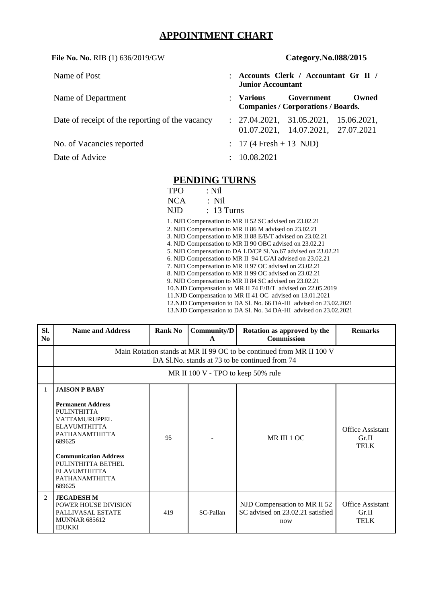# **APPOINTMENT CHART**

## **File No. No.** RIB (1) 636/2019/GW **Category.No.088/2015**

| Name of Post                                    | ٠                    | Accounts Clerk / Accountant Gr II /<br><b>Junior Accountant</b> |            |             |  |  |
|-------------------------------------------------|----------------------|-----------------------------------------------------------------|------------|-------------|--|--|
| Name of Department                              | $\ddot{\phantom{a}}$ | Various<br><b>Companies / Corporations / Boards.</b>            | Government | Owned       |  |  |
| Date of receipt of the reporting of the vacancy |                      | : 27.04.2021, 31.05.2021,<br>01.07.2021, 14.07.2021, 27.07.2021 |            | 15.06.2021, |  |  |
| No. of Vacancies reported                       |                      | $: 17(4$ Fresh + 13 NJD)                                        |            |             |  |  |
| Date of Advice                                  | ÷                    | 10.08.2021                                                      |            |             |  |  |
| <b>PENDING TURNS</b>                            |                      |                                                                 |            |             |  |  |

| TPO        | $:$ Nil                                                           |  |
|------------|-------------------------------------------------------------------|--|
| <b>NCA</b> | $:$ Nil                                                           |  |
| NJD        | $: 13$ Turns                                                      |  |
|            | 1. NJD Compensation to MR II 52 SC advised on 23.02.21            |  |
|            | 2. NJD Compensation to MR II 86 M advised on 23.02.21             |  |
|            | 3. NJD Compensation to MR II 88 E/B/T advised on 23.02.21         |  |
|            | 4. NJD Compensation to MR II 90 OBC advised on 23.02.21           |  |
|            | 5. NJD Compensation to DA LD/CP Sl.No.67 advised on 23.02.21      |  |
|            | 6. NJD Compensation to MR II 94 LC/AI advised on 23.02.21         |  |
|            | 7. NJD Compensation to MR II 97 OC advised on 23.02.21            |  |
|            | 8. NJD Compensation to MR II 99 OC advised on 23.02.21            |  |
|            | 9. NJD Compensation to MR II 84 SC advised on 23.02.21            |  |
|            | 10. NJD Compensation to MR II 74 E/B/T advised on 22.05.2019      |  |
|            | 11. NJD Compensation to MR II 41 OC advised on 13.01.2021         |  |
|            | 12. NJD Compensation to DA Sl. No. 66 DA-HI advised on 23.02.2021 |  |
|            | 13. NJD Compensation to DA Sl. No. 34 DA-HI advised on 23.02.2021 |  |

| SI.<br>N <sub>0</sub> | <b>Name and Address</b>                                                                                                                                                                                                                                           | <b>Rank No</b> | Community/D<br>A                   | Rotation as approved by the<br><b>Commission</b>                        | <b>Remarks</b>                                  |  |
|-----------------------|-------------------------------------------------------------------------------------------------------------------------------------------------------------------------------------------------------------------------------------------------------------------|----------------|------------------------------------|-------------------------------------------------------------------------|-------------------------------------------------|--|
|                       | Main Rotation stands at MR II 99 OC to be continued from MR II 100 V<br>DA Sl. No. stands at 73 to be continued from 74                                                                                                                                           |                |                                    |                                                                         |                                                 |  |
|                       |                                                                                                                                                                                                                                                                   |                | MR II 100 V - TPO to keep 50% rule |                                                                         |                                                 |  |
| 1                     | <b>JAISON P BABY</b><br><b>Permanent Address</b><br><b>PULINTHITTA</b><br>VATTAMURUPPEL<br><b>ELAVUMTHITTA</b><br><b>PATHANAMTHITTA</b><br>689625<br><b>Communication Address</b><br>PULINTHITTA BETHEL<br><b>ELAVUMTHITTA</b><br><b>PATHANAMTHITTA</b><br>689625 | 95             |                                    | MR III 1 OC                                                             | <b>Office Assistant</b><br>Gr.II<br><b>TELK</b> |  |
| $\overline{2}$        | <b>JEGADESH M</b><br><b>POWER HOUSE DIVISION</b><br><b>PALLIVASAL ESTATE</b><br><b>MUNNAR 685612</b><br><b>IDUKKI</b>                                                                                                                                             | 419            | SC-Pallan                          | NJD Compensation to MR II 52<br>SC advised on 23.02.21 satisfied<br>now | <b>Office Assistant</b><br>Gr.II<br><b>TELK</b> |  |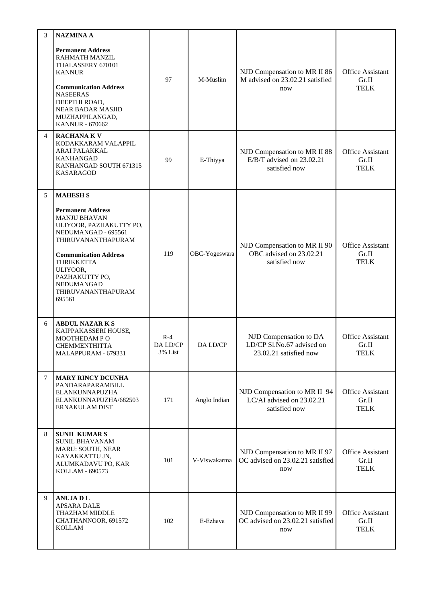| 3 | <b>NAZMINA A</b>                                                                                                                                                                                                                                         |                              |               |                                                                               |                                                 |
|---|----------------------------------------------------------------------------------------------------------------------------------------------------------------------------------------------------------------------------------------------------------|------------------------------|---------------|-------------------------------------------------------------------------------|-------------------------------------------------|
|   | <b>Permanent Address</b><br>RAHMATH MANZIL<br>THALASSERY 670101<br><b>KANNUR</b><br><b>Communication Address</b><br><b>NASEERAS</b><br>DEEPTHI ROAD,<br>NEAR BADAR MASJID<br>MUZHAPPILANGAD,<br><b>KANNUR - 670662</b>                                   | 97                           | M-Muslim      | NJD Compensation to MR II 86<br>M advised on 23.02.21 satisfied<br>now        | <b>Office Assistant</b><br>Gr.II<br><b>TELK</b> |
| 4 | <b>RACHANAKV</b><br>KODAKKARAM VALAPPIL<br>ARAI PALAKKAL<br><b>KANHANGAD</b><br>KANHANGAD SOUTH 671315<br><b>KASARAGOD</b>                                                                                                                               | 99                           | E-Thiyya      | NJD Compensation to MR II 88<br>E/B/T advised on 23.02.21<br>satisfied now    | <b>Office Assistant</b><br>Gr.II<br><b>TELK</b> |
| 5 | <b>MAHESH S</b>                                                                                                                                                                                                                                          |                              |               |                                                                               |                                                 |
|   | <b>Permanent Address</b><br><b>MANJU BHAVAN</b><br>ULIYOOR, PAZHAKUTTY PO,<br>NEDUMANGAD - 695561<br>THIRUVANANTHAPURAM<br><b>Communication Address</b><br><b>THRIKKETTA</b><br>ULIYOOR,<br>PAZHAKUTTY PO,<br>NEDUMANGAD<br>THIRUVANANTHAPURAM<br>695561 | 119                          | OBC-Yogeswara | NJD Compensation to MR II 90<br>OBC advised on 23.02.21<br>satisfied now      | <b>Office Assistant</b><br>Gr.II<br><b>TELK</b> |
| 6 | <b>ABDUL NAZAR K S</b><br>KAIPPAKASSERI HOUSE,<br>MOOTHEDAM PO<br>CHEMMENTHITTA<br>MALAPPURAM - 679331                                                                                                                                                   | $R-4$<br>DA LD/CP<br>3% List | DA LD/CP      | NJD Compensation to DA<br>LD/CP Sl.No.67 advised on<br>23.02.21 satisfied now | <b>Office Assistant</b><br>Gr.II<br><b>TELK</b> |
| 7 | <b>MARY RINCY DCUNHA</b><br>PANDARAPARAMBILL<br>ELANKUNNAPUZHA<br>ELANKUNNAPUZHA/682503<br>ERNAKULAM DIST                                                                                                                                                | 171                          | Anglo Indian  | NJD Compensation to MR II 94<br>LC/AI advised on 23.02.21<br>satisfied now    | <b>Office Assistant</b><br>Gr.II<br><b>TELK</b> |
| 8 | <b>SUNIL KUMARS</b><br><b>SUNIL BHAVANAM</b><br>MARU: SOUTH, NEAR<br>KAYAKKATTU JN,<br>ALUMKADAVU PO, KAR<br>KOLLAM - 690573                                                                                                                             | 101                          | V-Viswakarma  | NJD Compensation to MR II 97<br>OC advised on 23.02.21 satisfied<br>now       | <b>Office Assistant</b><br>Gr.II<br><b>TELK</b> |
| 9 | <b>ANUJADL</b><br><b>APSARA DALE</b><br>THAZHAM MIDDLE<br>CHATHANNOOR, 691572<br><b>KOLLAM</b>                                                                                                                                                           | 102                          | E-Ezhava      | NJD Compensation to MR II 99<br>OC advised on 23.02.21 satisfied<br>now       | <b>Office Assistant</b><br>Gr.II<br><b>TELK</b> |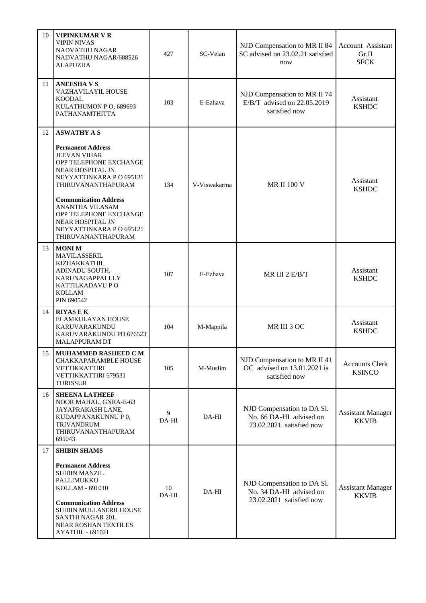| 10 | <b>VIPINKUMAR V R</b><br><b>VIPIN NIVAS</b><br>NADVATHU NAGAR<br>NADVATHU NAGAR/688526<br><b>ALAPUZHA</b>                                                                                                                                                                                                                     | 427         | SC-Velan     | NJD Compensation to MR II 84<br>SC advised on 23.02.21 satisfied<br>now           | <b>Account Assistant</b><br>Gr.II<br><b>SFCK</b> |
|----|-------------------------------------------------------------------------------------------------------------------------------------------------------------------------------------------------------------------------------------------------------------------------------------------------------------------------------|-------------|--------------|-----------------------------------------------------------------------------------|--------------------------------------------------|
| 11 | <b>ANEESHAVS</b><br>VAZHAVILAYIL HOUSE<br><b>KOODAL</b><br>KULATHUMON P O, 689693<br>PATHANAMTHITTA                                                                                                                                                                                                                           | 103         | E-Ezhava     | NJD Compensation to MR II 74<br>E/B/T advised on 22.05.2019<br>satisfied now      | Assistant<br><b>KSHDC</b>                        |
| 12 | <b>ASWATHY A S</b><br><b>Permanent Address</b><br><b>JEEVAN VIHAR</b><br>OPP TELEPHONE EXCHANGE<br><b>NEAR HOSPITAL JN</b><br>NEYYATTINKARA PO 695121<br>THIRUVANANTHAPURAM<br><b>Communication Address</b><br>ANANTHA VILASAM<br>OPP TELEPHONE EXCHANGE<br>NEAR HOSPITAL JN<br>NEYYATTINKARA PO 695121<br>THIRUVANANTHAPURAM | 134         | V-Viswakarma | <b>MR II 100 V</b>                                                                | Assistant<br><b>KSHDC</b>                        |
| 13 | <b>MONIM</b><br><b>MAVILASSERIL</b><br>KIZHAKKATHIL<br>ADINADU SOUTH,<br>KARUNAGAPPALLLY<br>KATTILKADAVU P O<br><b>KOLLAM</b><br>PIN 690542                                                                                                                                                                                   | 107         | E-Ezhava     | MR III 2 E/B/T                                                                    | Assistant<br><b>KSHDC</b>                        |
| 14 | <b>RIYAS E K</b><br>ELAMKULAYAN HOUSE<br>KARUVARAKUNDU<br>KARUVARAKUNDU PO 676523<br><b>MALAPPURAM DT</b>                                                                                                                                                                                                                     | 104         | M-Mappila    | MR III 3 OC                                                                       | Assistant<br><b>KSHDC</b>                        |
| 15 | MUHAMMED RASHEED C M<br>CHAKKAPARAMBLE HOUSE<br>VETTIKKATTIRI<br>VETTIKKATTIRI 679531<br><b>THRISSUR</b>                                                                                                                                                                                                                      | 105         | M-Muslim     | NJD Compensation to MR II 41<br>OC advised on 13.01.2021 is<br>satisfied now      | <b>Accounts Clerk</b><br><b>KSINCO</b>           |
| 16 | <b>SHEENA LATHEEF</b><br>NOOR MAHAL, GNRA-E-63<br>JAYAPRAKASH LANE,<br>KUDAPPANAKUNNUP0,<br><b>TRIVANDRUM</b><br>THIRUVANANTHAPURAM<br>695043                                                                                                                                                                                 | 9<br>DA-HI  | DA-HI        | NJD Compensation to DA Sl.<br>No. 66 DA-HI advised on<br>23.02.2021 satisfied now | <b>Assistant Manager</b><br><b>KKVIB</b>         |
| 17 | <b>SHIBIN SHAMS</b><br><b>Permanent Address</b><br><b>SHIBIN MANZIL</b><br>PALLIMUKKU<br>KOLLAM - 691010<br><b>Communication Address</b><br>SHIBIN MULLASERILHOUSE<br>SANTHI NAGAR 201,<br>NEAR ROSHAN TEXTILES<br>AYATHIL - 691021                                                                                           | 10<br>DA-HI | DA-HI        | NJD Compensation to DA Sl.<br>No. 34 DA-HI advised on<br>23.02.2021 satisfied now | <b>Assistant Manager</b><br><b>KKVIB</b>         |